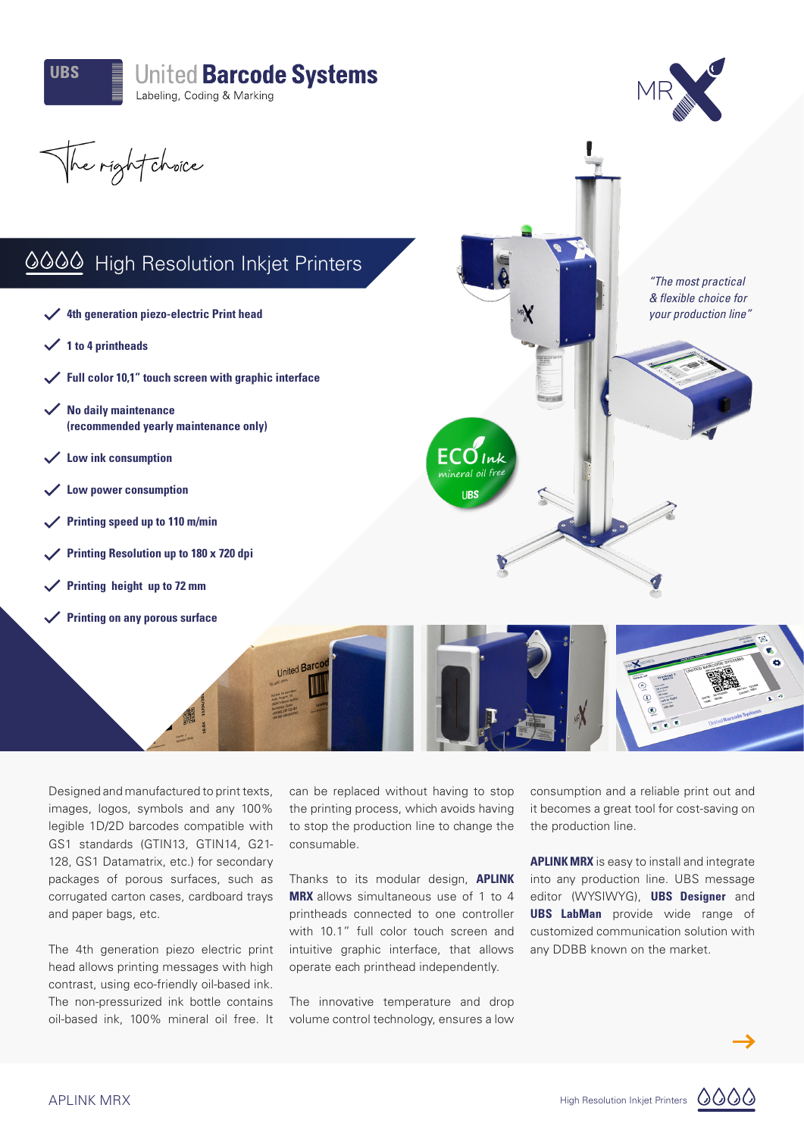



*"The most practical & flexible choice for your production line"*

The right choice

## 0000 High Resolution Inkjet Printers

- **4th generation piezo-electric Print head**
- **1 to 4 printheads**
- **Full color 10,1" touch screen with graphic interface**
- **No daily maintenance (recommended yearly maintenance only)**
- **Low ink consumption**
- **Low power consumption**
- **Printing speed up to 110 m/min**
- **Printing Resolution up to 180 x 720 dpi**
- **Printing height up to 72 mm**
- **Printing on any porous surface**

Designed and manufactured to print texts, images, logos, symbols and any 100% legible 1D/2D barcodes compatible with GS1 standards (GTIN13, GTIN14, G21- 128, GS1 Datamatrix, etc.) for secondary packages of porous surfaces, such as corrugated carton cases, cardboard trays and paper bags, etc.

The 4th generation piezo electric print head allows printing messages with high contrast, using eco-friendly oil-based ink. The non-pressurized ink bottle contains oil-based ink, 100% mineral oil free. It

can be replaced without having to stop the printing process, which avoids having to stop the production line to change the consumable.

United Barc

 $ECO_{lnk}$ 

**UBS** 

Thanks to its modular design, **APLINK MRX** allows simultaneous use of 1 to 4 printheads connected to one controller with 10.1" full color touch screen and intuitive graphic interface, that allows operate each printhead independently.

The innovative temperature and drop volume control technology, ensures a low consumption and a reliable print out and it becomes a great tool for cost-saving on the production line.

**APLINK MRX** is easy to install and integrate into any production line. UBS message editor (WYSIWYG), **UBS Designer** and **UBS LabMan** provide wide range of customized communication solution with any DDBB known on the market.